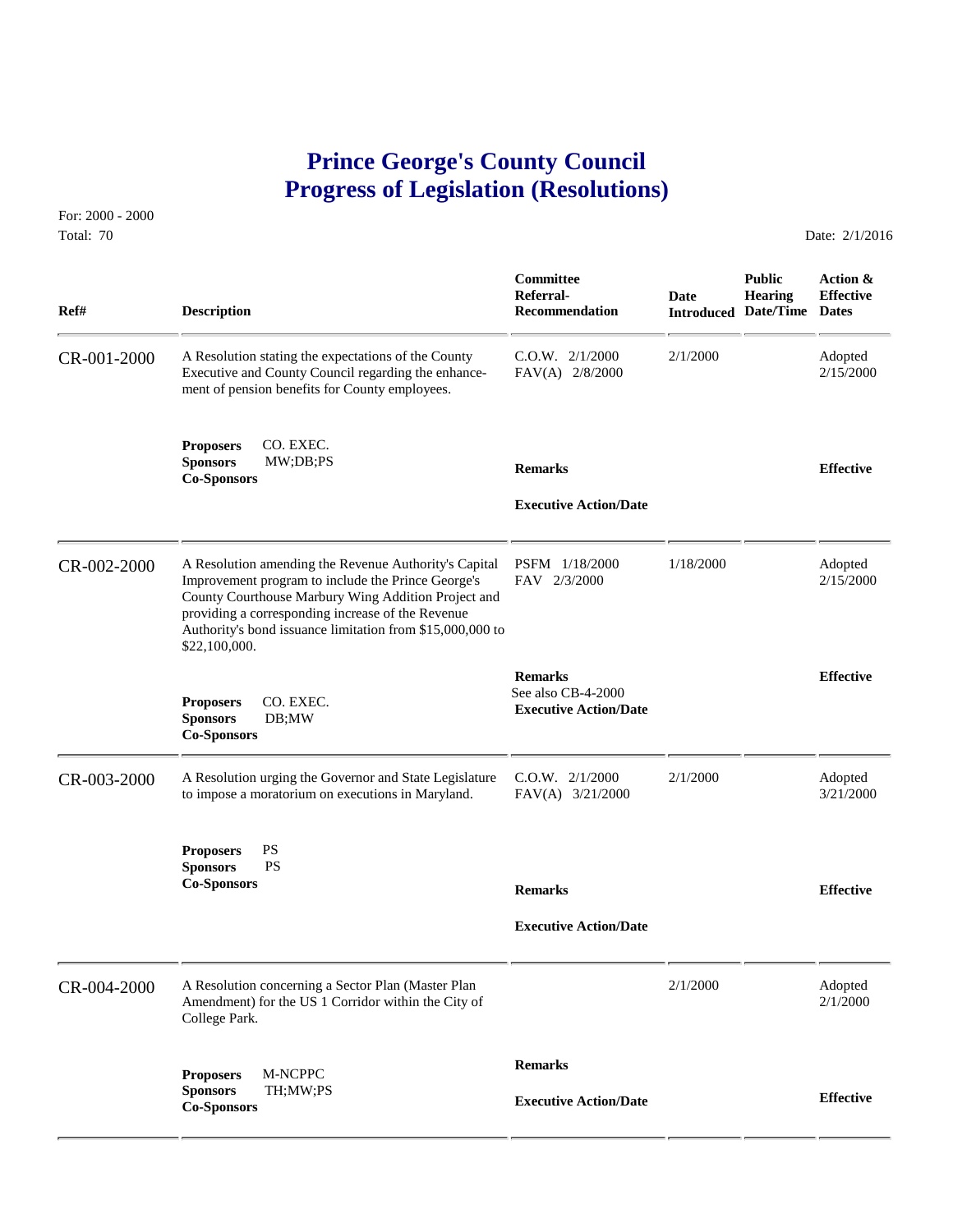## **Prince George's County Council Progress of Legislation (Resolutions)**

For: 2000 - 2000 Total: 70 Date: 2/1/2016

| Ref#        | <b>Description</b>                                                                                                                                                                                                                                                                                    | Committee<br>Referral-<br>Recommendation                             | Date      | <b>Public</b><br><b>Hearing</b><br><b>Introduced Date/Time Dates</b> | Action &<br><b>Effective</b> |
|-------------|-------------------------------------------------------------------------------------------------------------------------------------------------------------------------------------------------------------------------------------------------------------------------------------------------------|----------------------------------------------------------------------|-----------|----------------------------------------------------------------------|------------------------------|
| CR-001-2000 | A Resolution stating the expectations of the County<br>Executive and County Council regarding the enhance-<br>ment of pension benefits for County employees.                                                                                                                                          | $C.0.W.$ $2/1/2000$<br>FAV(A) 2/8/2000                               | 2/1/2000  |                                                                      | Adopted<br>2/15/2000         |
|             | CO. EXEC.<br><b>Proposers</b><br><b>Sponsors</b><br>MW;DB;PS<br><b>Co-Sponsors</b>                                                                                                                                                                                                                    | <b>Remarks</b>                                                       |           |                                                                      | <b>Effective</b>             |
|             |                                                                                                                                                                                                                                                                                                       | <b>Executive Action/Date</b>                                         |           |                                                                      |                              |
| CR-002-2000 | A Resolution amending the Revenue Authority's Capital<br>Improvement program to include the Prince George's<br>County Courthouse Marbury Wing Addition Project and<br>providing a corresponding increase of the Revenue<br>Authority's bond issuance limitation from \$15,000,000 to<br>\$22,100,000. | PSFM 1/18/2000<br>FAV 2/3/2000                                       | 1/18/2000 |                                                                      | Adopted<br>2/15/2000         |
|             | CO. EXEC.<br><b>Proposers</b><br><b>Sponsors</b><br>DB;MW<br><b>Co-Sponsors</b>                                                                                                                                                                                                                       | <b>Remarks</b><br>See also CB-4-2000<br><b>Executive Action/Date</b> |           |                                                                      | <b>Effective</b>             |
| CR-003-2000 | A Resolution urging the Governor and State Legislature<br>to impose a moratorium on executions in Maryland.                                                                                                                                                                                           | $C.0.W.$ $2/1/2000$<br>FAV(A) 3/21/2000                              | 2/1/2000  |                                                                      | Adopted<br>3/21/2000         |
|             | <b>PS</b><br><b>Proposers</b><br><b>PS</b><br><b>Sponsors</b><br><b>Co-Sponsors</b>                                                                                                                                                                                                                   | <b>Remarks</b>                                                       |           |                                                                      | <b>Effective</b>             |
|             |                                                                                                                                                                                                                                                                                                       | <b>Executive Action/Date</b>                                         |           |                                                                      |                              |
| CR-004-2000 | A Resolution concerning a Sector Plan (Master Plan<br>Amendment) for the US 1 Corridor within the City of<br>College Park.                                                                                                                                                                            |                                                                      | 2/1/2000  |                                                                      | Adopted<br>2/1/2000          |
|             | M-NCPPC<br><b>Proposers</b>                                                                                                                                                                                                                                                                           | <b>Remarks</b>                                                       |           |                                                                      |                              |
|             | TH;MW;PS<br><b>Sponsors</b><br><b>Co-Sponsors</b>                                                                                                                                                                                                                                                     | <b>Executive Action/Date</b>                                         |           |                                                                      | <b>Effective</b>             |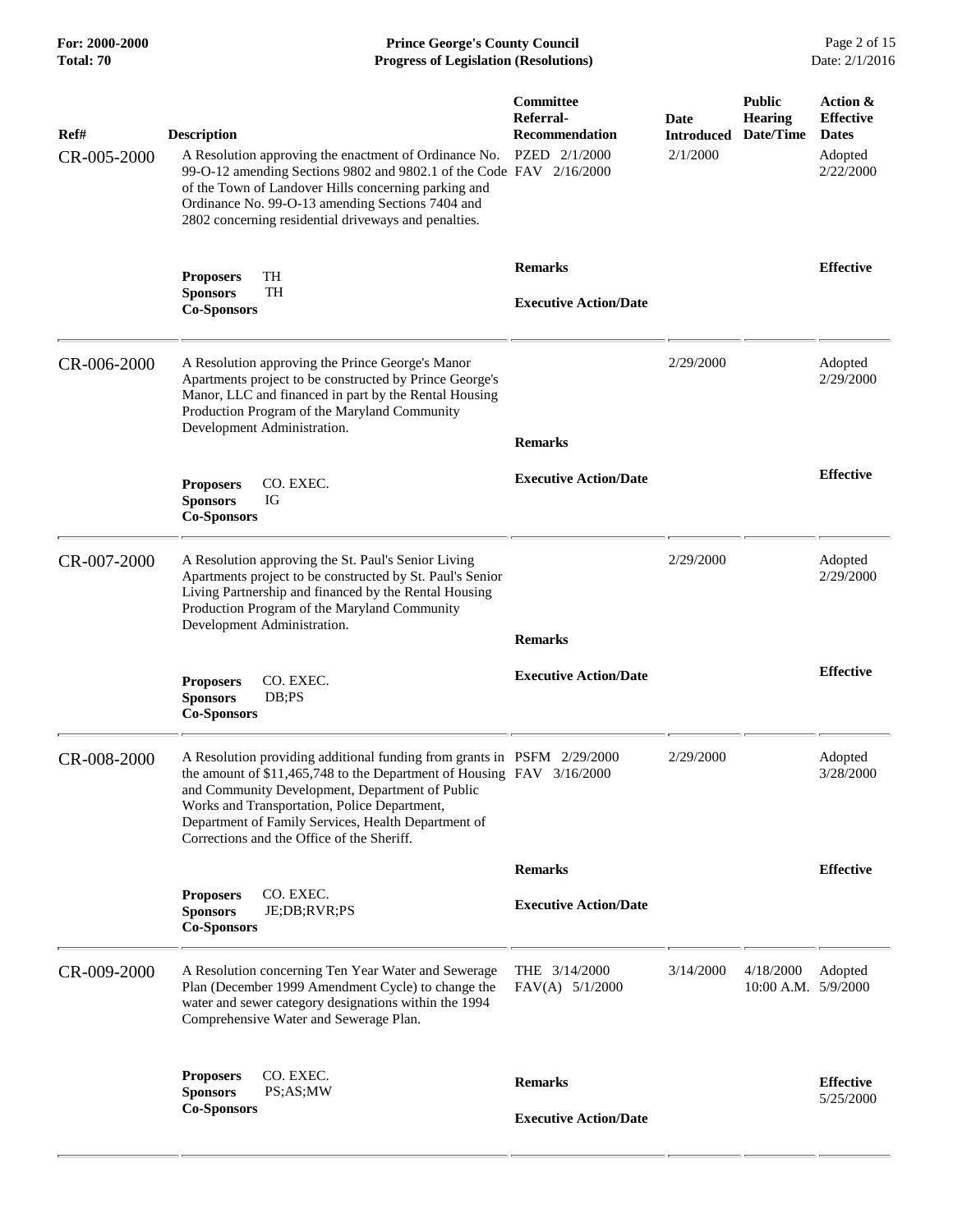**For: 2000-2000 Prince George's County Council** Page 2 of 15<br> **Formal: 70 Progress of Legislation (Resolutions)** Date: 2/1/2016 **Total: 70 Progress of Legislation (Resolutions)** 

| Ref#<br>CR-005-2000 | <b>Description</b><br>A Resolution approving the enactment of Ordinance No.<br>99-O-12 amending Sections 9802 and 9802.1 of the Code FAV 2/16/2000<br>of the Town of Landover Hills concerning parking and<br>Ordinance No. 99-O-13 amending Sections 7404 and<br>2802 concerning residential driveways and penalties.                                   | Committee<br>Referral-<br><b>Recommendation</b><br>PZED 2/1/2000 | Date<br><b>Introduced</b><br>2/1/2000 | <b>Public</b><br><b>Hearing</b><br>Date/Time | Action &<br><b>Effective</b><br><b>Dates</b><br>Adopted<br>2/22/2000 |
|---------------------|----------------------------------------------------------------------------------------------------------------------------------------------------------------------------------------------------------------------------------------------------------------------------------------------------------------------------------------------------------|------------------------------------------------------------------|---------------------------------------|----------------------------------------------|----------------------------------------------------------------------|
|                     | TH<br><b>Proposers</b><br>TH<br><b>Sponsors</b><br><b>Co-Sponsors</b>                                                                                                                                                                                                                                                                                    | <b>Remarks</b><br><b>Executive Action/Date</b>                   |                                       |                                              | <b>Effective</b>                                                     |
| CR-006-2000         | A Resolution approving the Prince George's Manor<br>Apartments project to be constructed by Prince George's<br>Manor, LLC and financed in part by the Rental Housing<br>Production Program of the Maryland Community<br>Development Administration.                                                                                                      | <b>Remarks</b>                                                   | 2/29/2000                             |                                              | Adopted<br>2/29/2000                                                 |
|                     | CO. EXEC.<br><b>Proposers</b><br><b>Sponsors</b><br>IG<br><b>Co-Sponsors</b>                                                                                                                                                                                                                                                                             | <b>Executive Action/Date</b>                                     |                                       |                                              | <b>Effective</b>                                                     |
| CR-007-2000         | A Resolution approving the St. Paul's Senior Living<br>Apartments project to be constructed by St. Paul's Senior<br>Living Partnership and financed by the Rental Housing<br>Production Program of the Maryland Community<br>Development Administration.                                                                                                 | <b>Remarks</b>                                                   | 2/29/2000                             |                                              | Adopted<br>2/29/2000                                                 |
|                     | CO. EXEC.<br><b>Proposers</b><br><b>Sponsors</b><br>DB; PS<br><b>Co-Sponsors</b>                                                                                                                                                                                                                                                                         | <b>Executive Action/Date</b>                                     |                                       |                                              | <b>Effective</b>                                                     |
| CR-008-2000         | A Resolution providing additional funding from grants in PSFM 2/29/2000<br>the amount of \$11,465,748 to the Department of Housing FAV 3/16/2000<br>and Community Development, Department of Public<br>Works and Transportation, Police Department,<br>Department of Family Services, Health Department of<br>Corrections and the Office of the Sheriff. |                                                                  | 2/29/2000                             |                                              | Adopted<br>3/28/2000                                                 |
|                     |                                                                                                                                                                                                                                                                                                                                                          | <b>Remarks</b>                                                   |                                       |                                              | <b>Effective</b>                                                     |
|                     | CO. EXEC.<br><b>Proposers</b><br><b>Sponsors</b><br>JE:DB:RVR:PS<br><b>Co-Sponsors</b>                                                                                                                                                                                                                                                                   | <b>Executive Action/Date</b>                                     |                                       |                                              |                                                                      |
| CR-009-2000         | A Resolution concerning Ten Year Water and Sewerage<br>Plan (December 1999 Amendment Cycle) to change the<br>water and sewer category designations within the 1994<br>Comprehensive Water and Sewerage Plan.                                                                                                                                             | THE $3/14/2000$<br>$FAV(A)$ 5/1/2000                             | 3/14/2000                             | 4/18/2000<br>10:00 A.M. 5/9/2000             | Adopted                                                              |
|                     | <b>Proposers</b><br>CO. EXEC.<br><b>Sponsors</b><br>PS;AS;MW<br><b>Co-Sponsors</b>                                                                                                                                                                                                                                                                       | <b>Remarks</b><br><b>Executive Action/Date</b>                   |                                       |                                              | <b>Effective</b><br>5/25/2000                                        |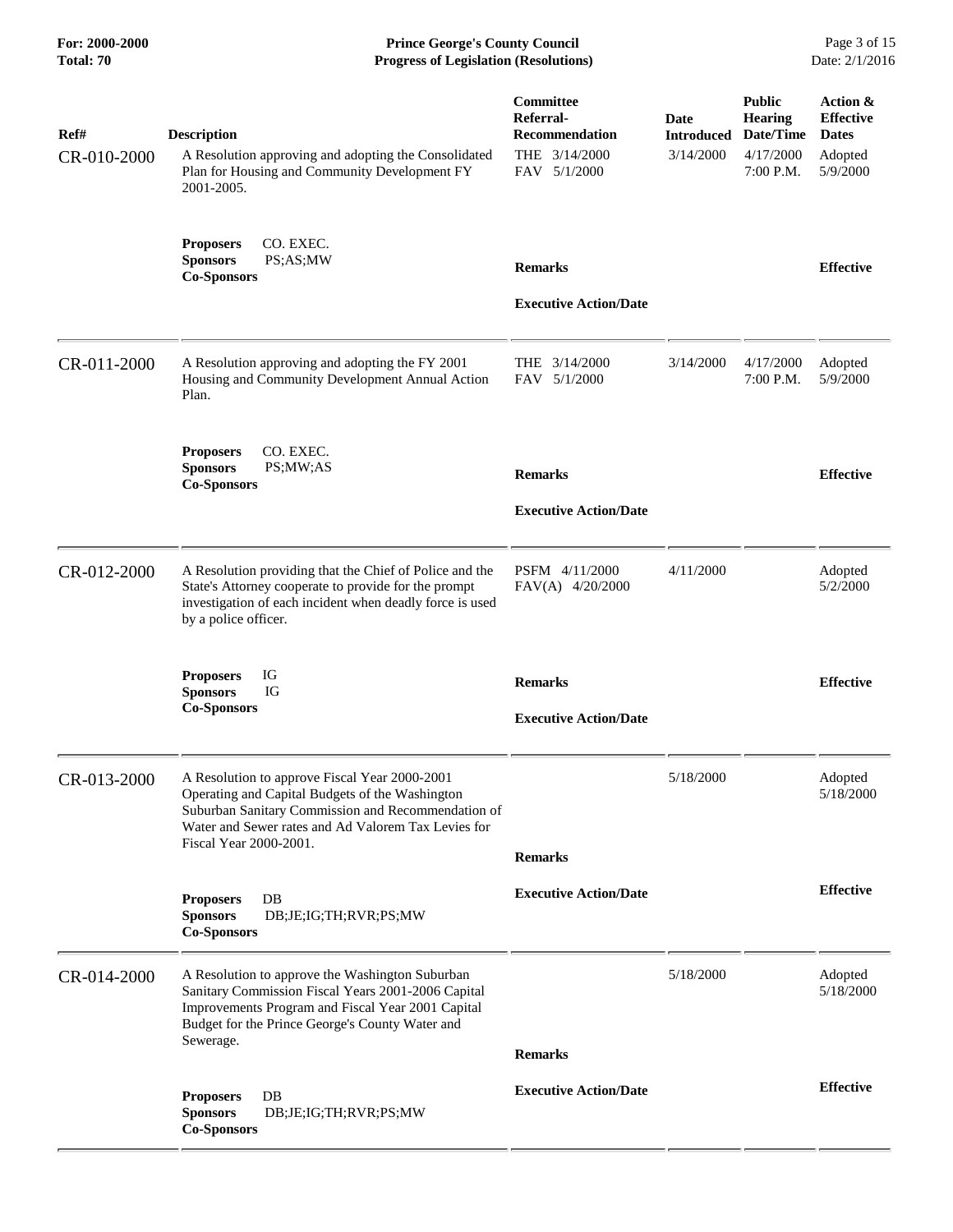**For: 2000-2000 Prince George's County Council** Page 3 of 15<br> **Formal: 70 Progress of Legislation (Resolutions)** Date: 2/1/2016 **Total: 70 Progress of Legislation (Resolutions)** 

| Ref#<br>CR-010-2000 | <b>Description</b><br>A Resolution approving and adopting the Consolidated<br>Plan for Housing and Community Development FY<br>2001-2005.                                                                                               | Committee<br>Referral-<br><b>Recommendation</b><br>THE 3/14/2000<br>FAV 5/1/2000 | Date<br><b>Introduced</b><br>3/14/2000 | <b>Public</b><br><b>Hearing</b><br>Date/Time<br>4/17/2000<br>7:00 P.M. | Action &<br><b>Effective</b><br><b>Dates</b><br>Adopted<br>5/9/2000 |
|---------------------|-----------------------------------------------------------------------------------------------------------------------------------------------------------------------------------------------------------------------------------------|----------------------------------------------------------------------------------|----------------------------------------|------------------------------------------------------------------------|---------------------------------------------------------------------|
|                     | CO. EXEC.<br><b>Proposers</b><br>PS;AS;MW<br><b>Sponsors</b><br><b>Co-Sponsors</b>                                                                                                                                                      | <b>Remarks</b><br><b>Executive Action/Date</b>                                   |                                        |                                                                        | <b>Effective</b>                                                    |
| CR-011-2000         | A Resolution approving and adopting the FY 2001<br>Housing and Community Development Annual Action<br>Plan.                                                                                                                             | THE 3/14/2000<br>FAV 5/1/2000                                                    | 3/14/2000                              | 4/17/2000<br>$7:00$ P.M.                                               | Adopted<br>5/9/2000                                                 |
|                     | CO. EXEC.<br><b>Proposers</b><br><b>Sponsors</b><br>PS;MW;AS<br><b>Co-Sponsors</b>                                                                                                                                                      | <b>Remarks</b><br><b>Executive Action/Date</b>                                   |                                        |                                                                        | <b>Effective</b>                                                    |
| CR-012-2000         | A Resolution providing that the Chief of Police and the<br>State's Attorney cooperate to provide for the prompt<br>investigation of each incident when deadly force is used<br>by a police officer.                                     | PSFM 4/11/2000<br>FAV(A) 4/20/2000                                               | 4/11/2000                              |                                                                        | Adopted<br>5/2/2000                                                 |
|                     | IG<br><b>Proposers</b><br><b>Sponsors</b><br>IG<br><b>Co-Sponsors</b>                                                                                                                                                                   | <b>Remarks</b><br><b>Executive Action/Date</b>                                   |                                        |                                                                        | <b>Effective</b>                                                    |
| CR-013-2000         | A Resolution to approve Fiscal Year 2000-2001<br>Operating and Capital Budgets of the Washington<br>Suburban Sanitary Commission and Recommendation of<br>Water and Sewer rates and Ad Valorem Tax Levies for<br>Fiscal Year 2000-2001. | <b>Remarks</b>                                                                   | 5/18/2000                              |                                                                        | Adopted<br>5/18/2000                                                |
|                     | DB<br><b>Proposers</b><br><b>Sponsors</b><br>DB;JE;IG;TH;RVR;PS;MW<br><b>Co-Sponsors</b>                                                                                                                                                | <b>Executive Action/Date</b>                                                     |                                        |                                                                        | <b>Effective</b>                                                    |
| CR-014-2000         | A Resolution to approve the Washington Suburban<br>Sanitary Commission Fiscal Years 2001-2006 Capital<br>Improvements Program and Fiscal Year 2001 Capital<br>Budget for the Prince George's County Water and<br>Sewerage.              | <b>Remarks</b>                                                                   | 5/18/2000                              |                                                                        | Adopted<br>5/18/2000                                                |
|                     | DB<br><b>Proposers</b><br><b>Sponsors</b><br>DB;JE;IG;TH;RVR;PS;MW<br><b>Co-Sponsors</b>                                                                                                                                                | <b>Executive Action/Date</b>                                                     |                                        |                                                                        | <b>Effective</b>                                                    |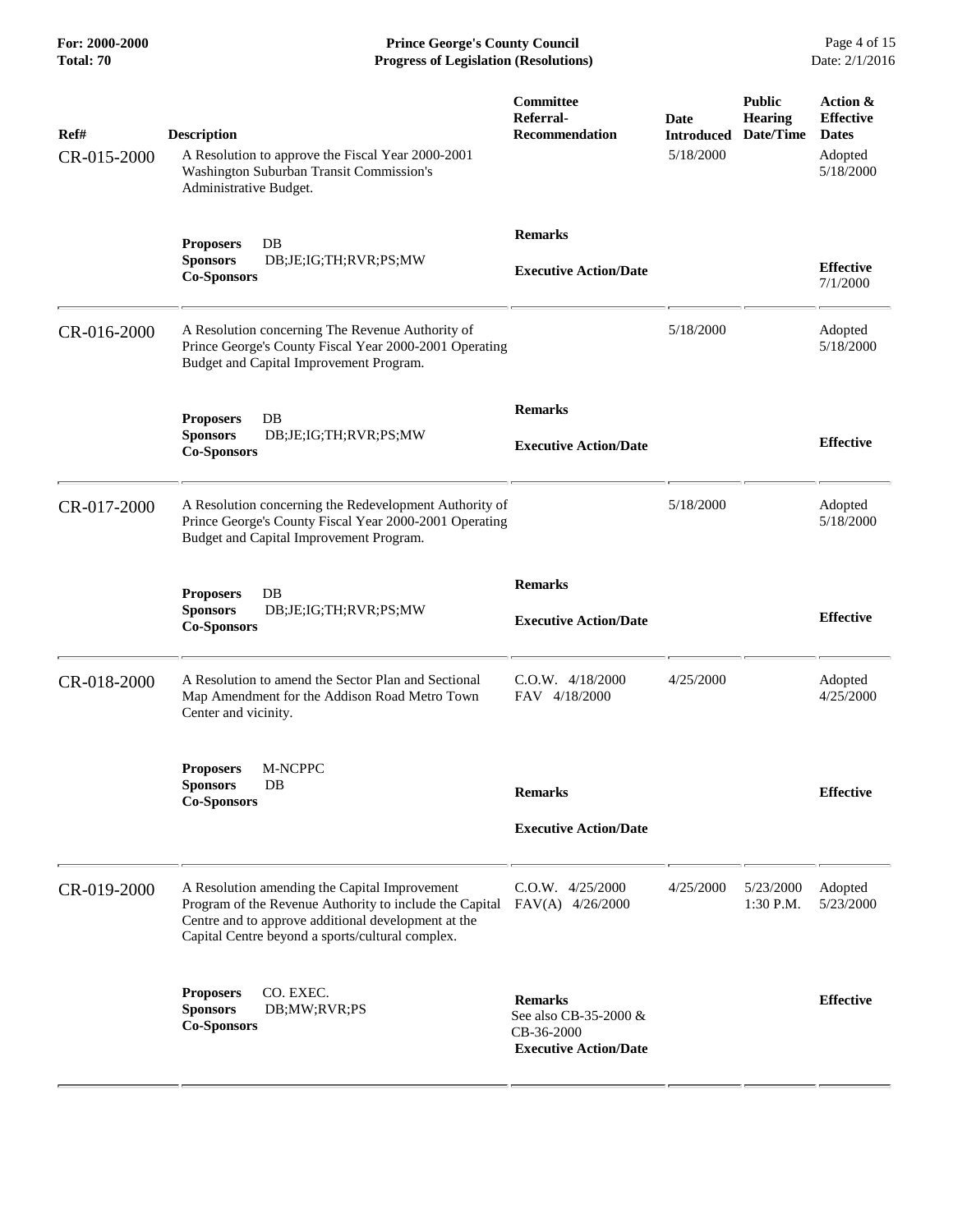**For: 2000-2000 Prince George's County Council** Page 4 of 15<br> **Formal: 70 Progress of Legislation (Resolutions)** Date: 2/1/2016 **Total: 70 Progress of Legislation (Resolutions)** 

| Ref#<br>CR-015-2000 | <b>Description</b><br>A Resolution to approve the Fiscal Year 2000-2001<br>Washington Suburban Transit Commission's<br>Administrative Budget.                                                                       | Committee<br>Referral-<br><b>Recommendation</b>                                       | Date<br><b>Introduced</b><br>5/18/2000 | <b>Public</b><br><b>Hearing</b><br>Date/Time | Action &<br><b>Effective</b><br><b>Dates</b><br>Adopted<br>5/18/2000 |
|---------------------|---------------------------------------------------------------------------------------------------------------------------------------------------------------------------------------------------------------------|---------------------------------------------------------------------------------------|----------------------------------------|----------------------------------------------|----------------------------------------------------------------------|
|                     | $DB$<br><b>Proposers</b><br><b>Sponsors</b><br>DB;JE;IG;TH;RVR;PS;MW<br><b>Co-Sponsors</b>                                                                                                                          | <b>Remarks</b><br><b>Executive Action/Date</b>                                        |                                        |                                              | <b>Effective</b><br>7/1/2000                                         |
| CR-016-2000         | A Resolution concerning The Revenue Authority of<br>Prince George's County Fiscal Year 2000-2001 Operating<br>Budget and Capital Improvement Program.                                                               |                                                                                       | 5/18/2000                              |                                              | Adopted<br>5/18/2000                                                 |
|                     | DB<br><b>Proposers</b><br><b>Sponsors</b><br>DB;JE;IG;TH;RVR;PS;MW<br><b>Co-Sponsors</b>                                                                                                                            | <b>Remarks</b><br><b>Executive Action/Date</b>                                        |                                        |                                              | <b>Effective</b>                                                     |
| CR-017-2000         | A Resolution concerning the Redevelopment Authority of<br>Prince George's County Fiscal Year 2000-2001 Operating<br>Budget and Capital Improvement Program.                                                         |                                                                                       | 5/18/2000                              |                                              | Adopted<br>5/18/2000                                                 |
|                     | DB<br><b>Proposers</b><br><b>Sponsors</b><br>DB;JE;IG;TH;RVR;PS;MW<br><b>Co-Sponsors</b>                                                                                                                            | <b>Remarks</b><br><b>Executive Action/Date</b>                                        |                                        |                                              | <b>Effective</b>                                                     |
| CR-018-2000         | A Resolution to amend the Sector Plan and Sectional<br>Map Amendment for the Addison Road Metro Town<br>Center and vicinity.                                                                                        | $C.0.W.$ $4/18/2000$<br>FAV 4/18/2000                                                 | 4/25/2000                              |                                              | Adopted<br>4/25/2000                                                 |
|                     | M-NCPPC<br><b>Proposers</b><br>DB<br><b>Sponsors</b><br><b>Co-Sponsors</b>                                                                                                                                          | <b>Remarks</b><br><b>Executive Action/Date</b>                                        |                                        |                                              | <b>Effective</b>                                                     |
| CR-019-2000         | A Resolution amending the Capital Improvement<br>Program of the Revenue Authority to include the Capital<br>Centre and to approve additional development at the<br>Capital Centre beyond a sports/cultural complex. | $C.0.W.$ 4/25/2000<br>FAV(A) 4/26/2000                                                | 4/25/2000                              | 5/23/2000<br>1:30 P.M.                       | Adopted<br>5/23/2000                                                 |
|                     | CO. EXEC.<br><b>Proposers</b><br><b>Sponsors</b><br>DB;MW;RVR;PS<br>Co-Sponsors                                                                                                                                     | <b>Remarks</b><br>See also CB-35-2000 &<br>CB-36-2000<br><b>Executive Action/Date</b> |                                        |                                              | <b>Effective</b>                                                     |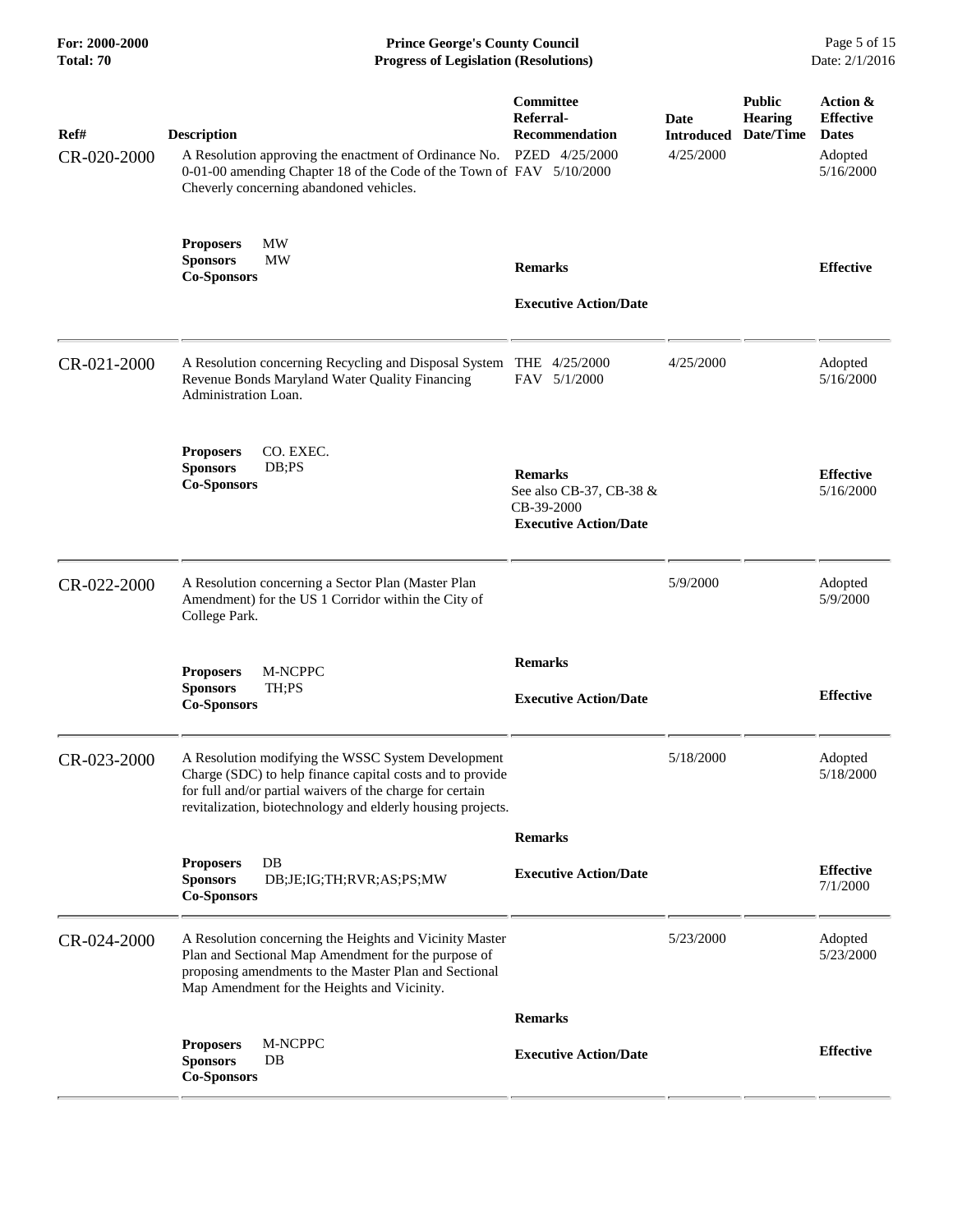| Action &<br><b>Effective</b><br><b>Dates</b><br>Adopted<br>5/16/2000 |
|----------------------------------------------------------------------|
|                                                                      |
| <b>Effective</b>                                                     |
| Adopted<br>5/16/2000                                                 |
| <b>Effective</b><br>5/16/2000                                        |
| Adopted<br>5/9/2000                                                  |
| <b>Effective</b>                                                     |
| Adopted<br>5/18/2000                                                 |
| <b>Effective</b><br>7/1/2000                                         |
| Adopted<br>5/23/2000                                                 |
| <b>Effective</b>                                                     |
|                                                                      |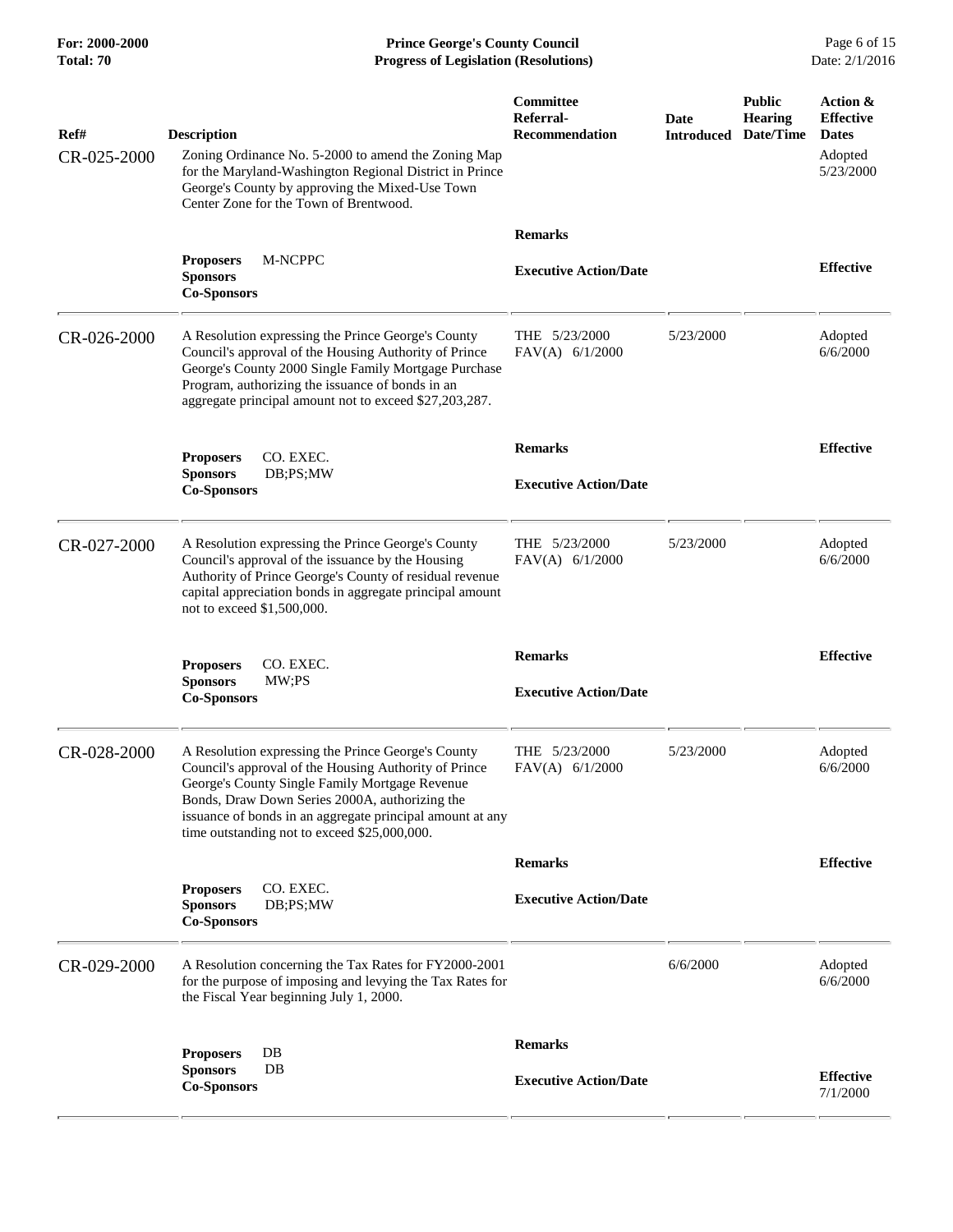**For: 2000-2000 Prince George's County Council** Page 6 of 15<br> **Formal: 70 Progress of Legislation (Resolutions)** Date: 2/1/2016 **Total: 70 Progress of Legislation (Resolutions)** 

| Ref#<br>CR-025-2000 | <b>Description</b><br>Zoning Ordinance No. 5-2000 to amend the Zoning Map<br>for the Maryland-Washington Regional District in Prince<br>George's County by approving the Mixed-Use Town<br>Center Zone for the Town of Brentwood.                                                                                            | Committee<br>Referral-<br><b>Recommendation</b> | Date<br><b>Introduced</b> | <b>Public</b><br><b>Hearing</b><br>Date/Time | Action &<br><b>Effective</b><br><b>Dates</b><br>Adopted<br>5/23/2000 |
|---------------------|------------------------------------------------------------------------------------------------------------------------------------------------------------------------------------------------------------------------------------------------------------------------------------------------------------------------------|-------------------------------------------------|---------------------------|----------------------------------------------|----------------------------------------------------------------------|
|                     |                                                                                                                                                                                                                                                                                                                              | <b>Remarks</b>                                  |                           |                                              |                                                                      |
|                     | M-NCPPC<br><b>Proposers</b><br><b>Sponsors</b><br><b>Co-Sponsors</b>                                                                                                                                                                                                                                                         | <b>Executive Action/Date</b>                    |                           |                                              | <b>Effective</b>                                                     |
| CR-026-2000         | A Resolution expressing the Prince George's County<br>Council's approval of the Housing Authority of Prince<br>George's County 2000 Single Family Mortgage Purchase<br>Program, authorizing the issuance of bonds in an<br>aggregate principal amount not to exceed \$27,203,287.                                            | THE 5/23/2000<br>$FAV(A)$ 6/1/2000              | 5/23/2000                 |                                              | Adopted<br>6/6/2000                                                  |
|                     |                                                                                                                                                                                                                                                                                                                              | <b>Remarks</b>                                  |                           |                                              | <b>Effective</b>                                                     |
|                     | CO. EXEC.<br><b>Proposers</b><br><b>Sponsors</b><br>DB;PS;MW<br><b>Co-Sponsors</b>                                                                                                                                                                                                                                           | <b>Executive Action/Date</b>                    |                           |                                              |                                                                      |
| CR-027-2000         | A Resolution expressing the Prince George's County<br>Council's approval of the issuance by the Housing<br>Authority of Prince George's County of residual revenue<br>capital appreciation bonds in aggregate principal amount<br>not to exceed \$1,500,000.                                                                 | THE 5/23/2000<br>$FAV(A)$ 6/1/2000              | 5/23/2000                 |                                              | Adopted<br>6/6/2000                                                  |
|                     | <b>Proposers</b><br>CO. EXEC.<br><b>Sponsors</b><br>MW;PS<br><b>Co-Sponsors</b>                                                                                                                                                                                                                                              | <b>Remarks</b><br><b>Executive Action/Date</b>  |                           |                                              | <b>Effective</b>                                                     |
| CR-028-2000         | A Resolution expressing the Prince George's County<br>Council's approval of the Housing Authority of Prince<br>George's County Single Family Mortgage Revenue<br>Bonds, Draw Down Series 2000A, authorizing the<br>issuance of bonds in an aggregate principal amount at any<br>time outstanding not to exceed \$25,000,000. | THE 5/23/2000<br>$FAV(A)$ 6/1/2000              | 5/23/2000                 |                                              | Adopted<br>6/6/2000                                                  |
|                     |                                                                                                                                                                                                                                                                                                                              | <b>Remarks</b>                                  |                           |                                              | <b>Effective</b>                                                     |
|                     | <b>Proposers</b><br>CO. EXEC.<br>DB;PS;MW<br><b>Sponsors</b><br><b>Co-Sponsors</b>                                                                                                                                                                                                                                           | <b>Executive Action/Date</b>                    |                           |                                              |                                                                      |
| CR-029-2000         | A Resolution concerning the Tax Rates for FY2000-2001<br>for the purpose of imposing and levying the Tax Rates for<br>the Fiscal Year beginning July 1, 2000.                                                                                                                                                                |                                                 | 6/6/2000                  |                                              | Adopted<br>6/6/2000                                                  |
|                     | DB<br><b>Proposers</b><br><b>Sponsors</b><br>$DB$<br><b>Co-Sponsors</b>                                                                                                                                                                                                                                                      | <b>Remarks</b><br><b>Executive Action/Date</b>  |                           |                                              | <b>Effective</b><br>7/1/2000                                         |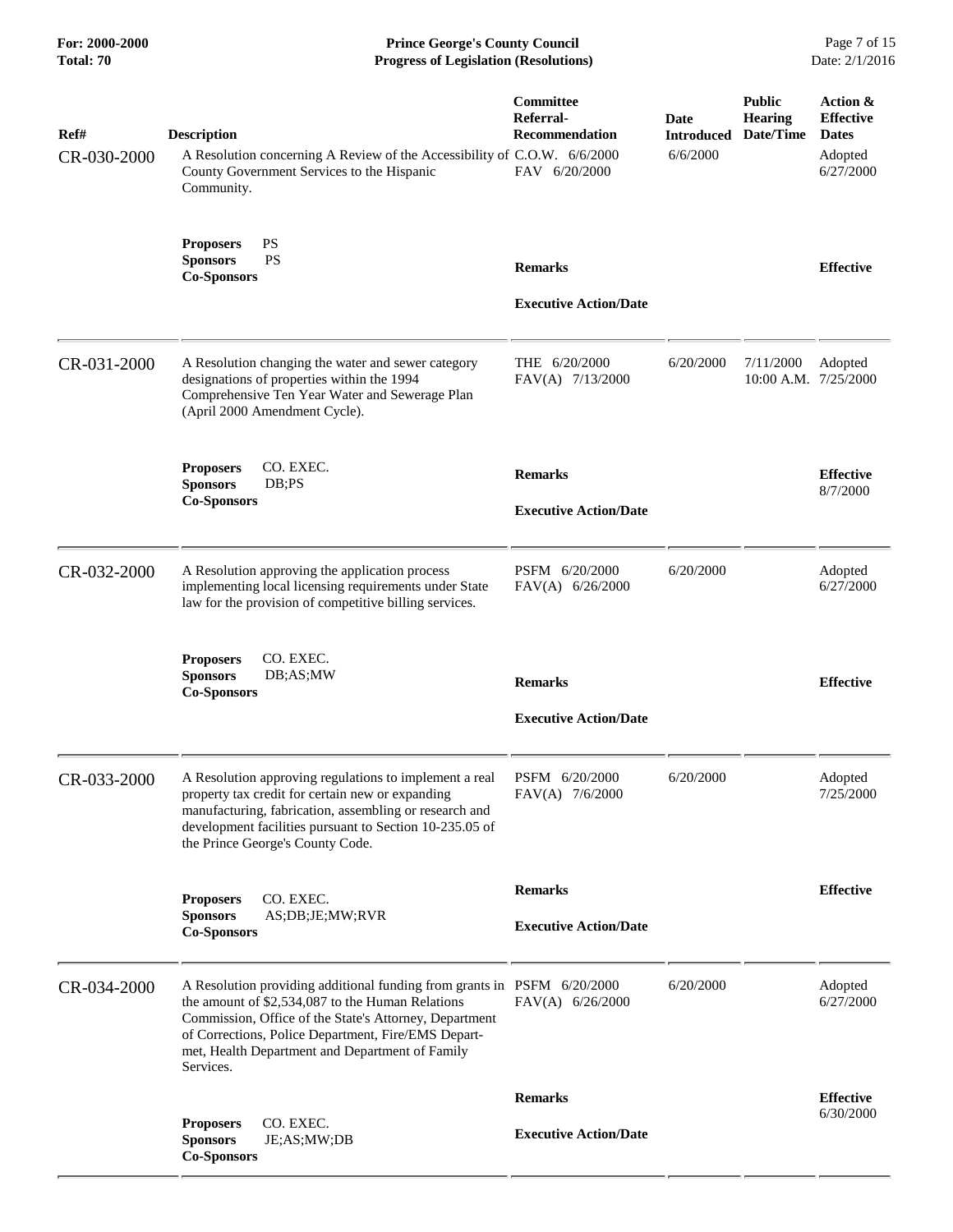| <b>For: 2000-2000</b><br>Total: 70 | <b>Prince George's County Council</b><br><b>Progress of Legislation (Resolutions)</b>                                                                                                                                                                                                                        |                                                                  |                                       | Page 7 of 15<br>Date: 2/1/2016               |                                                                      |
|------------------------------------|--------------------------------------------------------------------------------------------------------------------------------------------------------------------------------------------------------------------------------------------------------------------------------------------------------------|------------------------------------------------------------------|---------------------------------------|----------------------------------------------|----------------------------------------------------------------------|
| Ref#<br>CR-030-2000                | <b>Description</b><br>A Resolution concerning A Review of the Accessibility of C.O.W. 6/6/2000<br>County Government Services to the Hispanic<br>Community.                                                                                                                                                   | Committee<br>Referral-<br><b>Recommendation</b><br>FAV 6/20/2000 | Date<br><b>Introduced</b><br>6/6/2000 | <b>Public</b><br><b>Hearing</b><br>Date/Time | Action &<br><b>Effective</b><br><b>Dates</b><br>Adopted<br>6/27/2000 |
|                                    | <b>Proposers</b><br>PS<br><b>PS</b><br><b>Sponsors</b><br><b>Co-Sponsors</b>                                                                                                                                                                                                                                 | <b>Remarks</b><br><b>Executive Action/Date</b>                   |                                       |                                              | <b>Effective</b>                                                     |
| CR-031-2000                        | A Resolution changing the water and sewer category<br>designations of properties within the 1994<br>Comprehensive Ten Year Water and Sewerage Plan<br>(April 2000 Amendment Cycle).                                                                                                                          | THE 6/20/2000<br>FAV(A) 7/13/2000                                | 6/20/2000                             | 7/11/2000<br>10:00 A.M. 7/25/2000            | Adopted                                                              |
|                                    | <b>Proposers</b><br>CO. EXEC.<br>DB; PS<br><b>Sponsors</b><br><b>Co-Sponsors</b>                                                                                                                                                                                                                             | <b>Remarks</b><br><b>Executive Action/Date</b>                   |                                       |                                              | <b>Effective</b><br>8/7/2000                                         |
| CR-032-2000                        | A Resolution approving the application process<br>implementing local licensing requirements under State<br>law for the provision of competitive billing services.                                                                                                                                            | PSFM 6/20/2000<br>$FAV(A)$ 6/26/2000                             | 6/20/2000                             |                                              | Adopted<br>6/27/2000                                                 |
|                                    | CO. EXEC.<br><b>Proposers</b><br><b>Sponsors</b><br>DB;AS;MW<br><b>Co-Sponsors</b>                                                                                                                                                                                                                           | <b>Remarks</b><br><b>Executive Action/Date</b>                   |                                       |                                              | <b>Effective</b>                                                     |
| CR-033-2000                        | A Resolution approving regulations to implement a real<br>property tax credit for certain new or expanding<br>manufacturing, fabrication, assembling or research and<br>development facilities pursuant to Section 10-235.05 of<br>the Prince George's County Code.                                          | PSFM 6/20/2000<br>FAV(A) 7/6/2000                                | 6/20/2000                             |                                              | Adopted<br>7/25/2000                                                 |
|                                    | CO. EXEC.<br><b>Proposers</b><br><b>Sponsors</b><br>AS;DB;JE;MW;RVR<br><b>Co-Sponsors</b>                                                                                                                                                                                                                    | <b>Remarks</b><br><b>Executive Action/Date</b>                   |                                       |                                              | <b>Effective</b>                                                     |
| CR-034-2000                        | A Resolution providing additional funding from grants in PSFM 6/20/2000<br>the amount of \$2,534,087 to the Human Relations<br>Commission, Office of the State's Attorney, Department<br>of Corrections, Police Department, Fire/EMS Depart-<br>met, Health Department and Department of Family<br>Services. | $FAV(A)$ 6/26/2000                                               | 6/20/2000                             |                                              | Adopted<br>6/27/2000                                                 |
|                                    |                                                                                                                                                                                                                                                                                                              | <b>Remarks</b>                                                   |                                       |                                              | <b>Effective</b><br>6/30/2000                                        |
|                                    | CO. EXEC.<br><b>Proposers</b><br><b>Sponsors</b><br>JE;AS;MW;DB<br><b>Co-Sponsors</b>                                                                                                                                                                                                                        | <b>Executive Action/Date</b>                                     |                                       |                                              |                                                                      |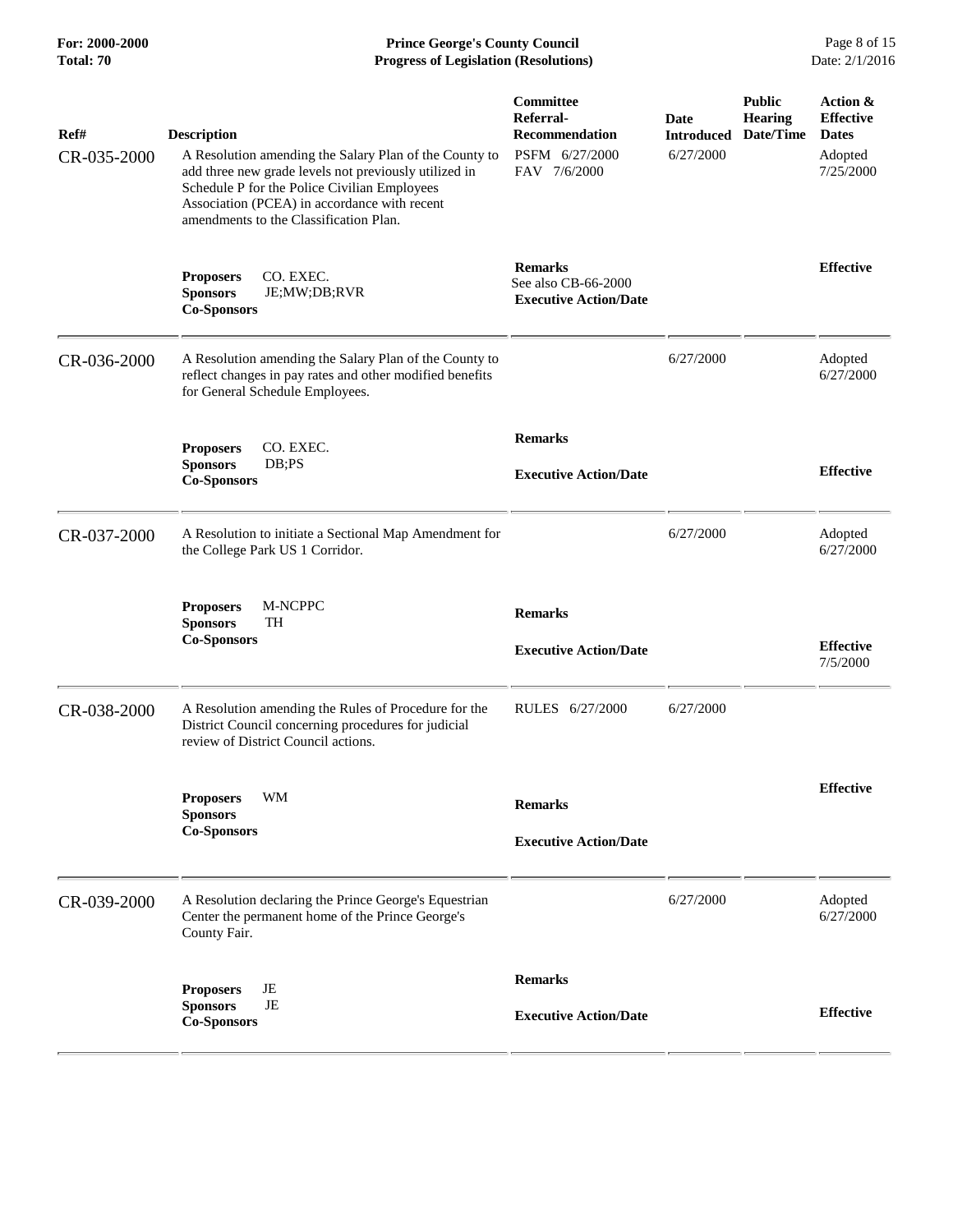**For: 2000-2000 Prince George's County Council** Page 8 of 15<br> **Formal: 70 Progress of Legislation (Resolutions)** Date: 2/1/2016 **Total: 70 Progress of Legislation (Resolutions)** 

| Ref#<br>CR-035-2000 | <b>Description</b><br>A Resolution amending the Salary Plan of the County to<br>add three new grade levels not previously utilized in<br>Schedule P for the Police Civilian Employees<br>Association (PCEA) in accordance with recent<br>amendments to the Classification Plan. | Committee<br>Referral-<br>Recommendation<br>PSFM 6/27/2000<br>FAV 7/6/2000 | Date<br><b>Introduced</b><br>6/27/2000 | <b>Public</b><br><b>Hearing</b><br>Date/Time | Action &<br><b>Effective</b><br><b>Dates</b><br>Adopted<br>7/25/2000 |
|---------------------|---------------------------------------------------------------------------------------------------------------------------------------------------------------------------------------------------------------------------------------------------------------------------------|----------------------------------------------------------------------------|----------------------------------------|----------------------------------------------|----------------------------------------------------------------------|
|                     | CO. EXEC.<br><b>Proposers</b><br>JE;MW;DB;RVR<br><b>Sponsors</b><br><b>Co-Sponsors</b>                                                                                                                                                                                          | <b>Remarks</b><br>See also CB-66-2000<br><b>Executive Action/Date</b>      |                                        |                                              | <b>Effective</b>                                                     |
| CR-036-2000         | A Resolution amending the Salary Plan of the County to<br>reflect changes in pay rates and other modified benefits<br>for General Schedule Employees.                                                                                                                           |                                                                            | 6/27/2000                              |                                              | Adopted<br>6/27/2000                                                 |
|                     | CO. EXEC.<br><b>Proposers</b><br><b>Sponsors</b><br>DB;PS<br><b>Co-Sponsors</b>                                                                                                                                                                                                 | <b>Remarks</b><br><b>Executive Action/Date</b>                             |                                        |                                              | <b>Effective</b>                                                     |
| CR-037-2000         | A Resolution to initiate a Sectional Map Amendment for<br>the College Park US 1 Corridor.                                                                                                                                                                                       |                                                                            | 6/27/2000                              |                                              | Adopted<br>6/27/2000                                                 |
|                     | M-NCPPC<br><b>Proposers</b><br><b>Sponsors</b><br><b>TH</b><br><b>Co-Sponsors</b>                                                                                                                                                                                               | <b>Remarks</b><br><b>Executive Action/Date</b>                             |                                        |                                              | <b>Effective</b><br>7/5/2000                                         |
| CR-038-2000         | A Resolution amending the Rules of Procedure for the<br>District Council concerning procedures for judicial<br>review of District Council actions.                                                                                                                              | RULES 6/27/2000                                                            | 6/27/2000                              |                                              |                                                                      |
|                     | WM<br><b>Proposers</b><br><b>Sponsors</b><br><b>Co-Sponsors</b>                                                                                                                                                                                                                 | <b>Remarks</b><br><b>Executive Action/Date</b>                             |                                        |                                              | <b>Effective</b>                                                     |
| CR-039-2000         | A Resolution declaring the Prince George's Equestrian<br>Center the permanent home of the Prince George's<br>County Fair.                                                                                                                                                       |                                                                            | 6/27/2000                              |                                              | Adopted<br>6/27/2000                                                 |
|                     | JE<br><b>Proposers</b><br><b>Sponsors</b><br>JE<br><b>Co-Sponsors</b>                                                                                                                                                                                                           | <b>Remarks</b><br><b>Executive Action/Date</b>                             |                                        |                                              | <b>Effective</b>                                                     |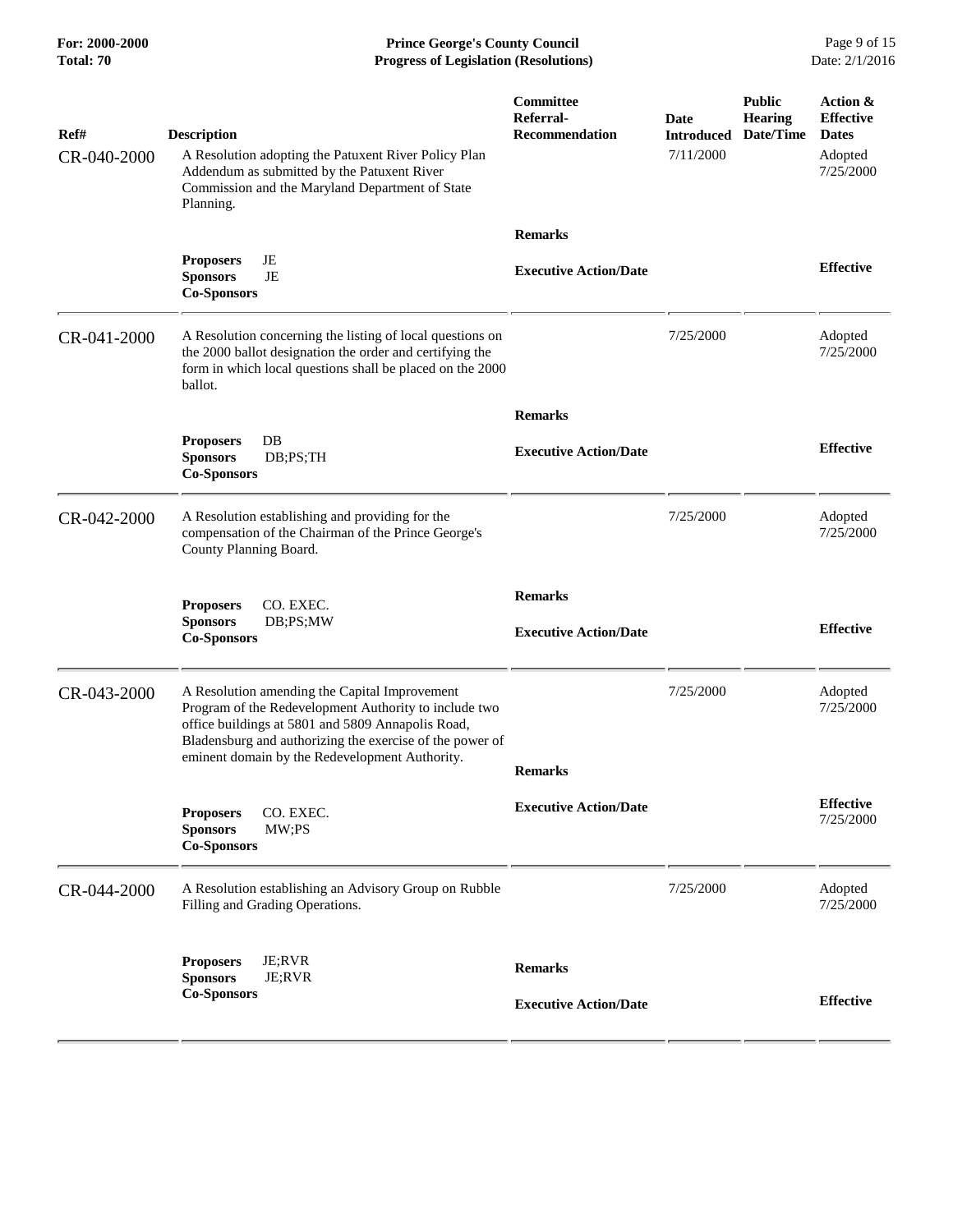**For: 2000-2000 Prince George's County Council** Page 9 of 15<br> **Prince George's County Council** Page 9 of 15<br> **Progress of Legislation (Resolutions)** Date: 2/1/2016 **Total: 70 Progress of Legislation (Resolutions)** 

| Ref#<br>CR-040-2000 | <b>Description</b><br>A Resolution adopting the Patuxent River Policy Plan<br>Addendum as submitted by the Patuxent River<br>Commission and the Maryland Department of State<br>Planning.                                                                                 | Committee<br>Referral-<br><b>Recommendation</b> | Date<br>Introduced<br>7/11/2000 | <b>Public</b><br><b>Hearing</b><br>Date/Time | Action &<br><b>Effective</b><br><b>Dates</b><br>Adopted<br>7/25/2000 |
|---------------------|---------------------------------------------------------------------------------------------------------------------------------------------------------------------------------------------------------------------------------------------------------------------------|-------------------------------------------------|---------------------------------|----------------------------------------------|----------------------------------------------------------------------|
|                     |                                                                                                                                                                                                                                                                           | <b>Remarks</b>                                  |                                 |                                              |                                                                      |
|                     | JE<br><b>Proposers</b><br><b>Sponsors</b><br>JE<br><b>Co-Sponsors</b>                                                                                                                                                                                                     | <b>Executive Action/Date</b>                    |                                 |                                              | <b>Effective</b>                                                     |
| CR-041-2000         | A Resolution concerning the listing of local questions on<br>the 2000 ballot designation the order and certifying the<br>form in which local questions shall be placed on the 2000<br>ballot.                                                                             |                                                 | 7/25/2000                       |                                              | Adopted<br>7/25/2000                                                 |
|                     |                                                                                                                                                                                                                                                                           | <b>Remarks</b>                                  |                                 |                                              |                                                                      |
|                     | <b>Proposers</b><br>DB<br><b>Sponsors</b><br>DB;PS;TH<br><b>Co-Sponsors</b>                                                                                                                                                                                               | <b>Executive Action/Date</b>                    |                                 |                                              | <b>Effective</b>                                                     |
| CR-042-2000         | A Resolution establishing and providing for the<br>compensation of the Chairman of the Prince George's<br>County Planning Board.                                                                                                                                          |                                                 | 7/25/2000                       |                                              | Adopted<br>7/25/2000                                                 |
|                     | CO. EXEC.<br><b>Proposers</b>                                                                                                                                                                                                                                             | <b>Remarks</b>                                  |                                 |                                              |                                                                      |
|                     | <b>Sponsors</b><br>DB;PS;MW<br><b>Co-Sponsors</b>                                                                                                                                                                                                                         | <b>Executive Action/Date</b>                    |                                 |                                              | <b>Effective</b>                                                     |
| CR-043-2000         | A Resolution amending the Capital Improvement<br>Program of the Redevelopment Authority to include two<br>office buildings at 5801 and 5809 Annapolis Road,<br>Bladensburg and authorizing the exercise of the power of<br>eminent domain by the Redevelopment Authority. |                                                 | 7/25/2000                       |                                              | Adopted<br>7/25/2000                                                 |
|                     |                                                                                                                                                                                                                                                                           | <b>Remarks</b>                                  |                                 |                                              |                                                                      |
|                     | <b>Proposers</b><br>CO. EXEC.<br>MW;PS<br><b>Sponsors</b><br><b>Co-Sponsors</b>                                                                                                                                                                                           | <b>Executive Action/Date</b>                    |                                 |                                              | <b>Effective</b><br>7/25/2000                                        |
| CR-044-2000         | A Resolution establishing an Advisory Group on Rubble<br>Filling and Grading Operations.                                                                                                                                                                                  |                                                 | 7/25/2000                       |                                              | Adopted<br>7/25/2000                                                 |
|                     | JE;RVR<br><b>Proposers</b><br><b>Sponsors</b><br>JE;RVR                                                                                                                                                                                                                   | <b>Remarks</b>                                  |                                 |                                              |                                                                      |
|                     | <b>Co-Sponsors</b>                                                                                                                                                                                                                                                        | <b>Executive Action/Date</b>                    |                                 |                                              | <b>Effective</b>                                                     |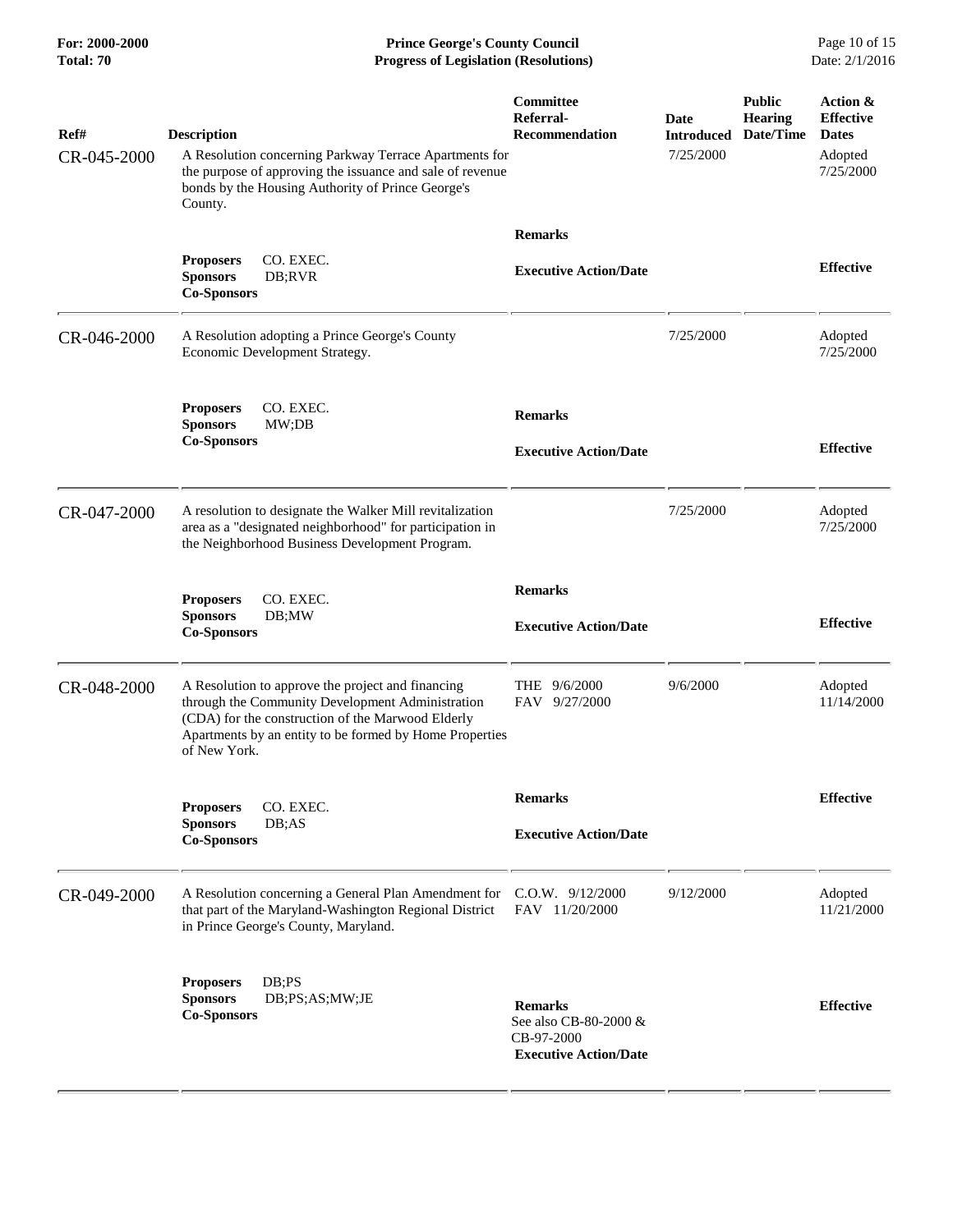**For: 2000-2000 Prince George's County Council** Page 10 of 15<br> **Progress of Legislation (Resolutions)** Date: 2/1/2016 **Total: 70 Progress of Legislation (Resolutions)** 

| Ref#<br>CR-045-2000 | <b>Description</b><br>A Resolution concerning Parkway Terrace Apartments for<br>the purpose of approving the issuance and sale of revenue<br>bonds by the Housing Authority of Prince George's<br>County.                             | Committee<br>Referral-<br><b>Recommendation</b>                                       | Date<br><b>Introduced</b><br>7/25/2000 | <b>Public</b><br><b>Hearing</b><br>Date/Time | Action &<br><b>Effective</b><br><b>Dates</b><br>Adopted<br>7/25/2000 |
|---------------------|---------------------------------------------------------------------------------------------------------------------------------------------------------------------------------------------------------------------------------------|---------------------------------------------------------------------------------------|----------------------------------------|----------------------------------------------|----------------------------------------------------------------------|
|                     |                                                                                                                                                                                                                                       | <b>Remarks</b>                                                                        |                                        |                                              |                                                                      |
|                     | CO. EXEC.<br><b>Proposers</b><br><b>Sponsors</b><br>DB;RVR<br><b>Co-Sponsors</b>                                                                                                                                                      | <b>Executive Action/Date</b>                                                          |                                        |                                              | <b>Effective</b>                                                     |
| CR-046-2000         | A Resolution adopting a Prince George's County<br>Economic Development Strategy.                                                                                                                                                      |                                                                                       | 7/25/2000                              |                                              | Adopted<br>7/25/2000                                                 |
|                     | CO. EXEC.<br><b>Proposers</b><br><b>Sponsors</b><br>MW;DB                                                                                                                                                                             | <b>Remarks</b>                                                                        |                                        |                                              |                                                                      |
|                     | <b>Co-Sponsors</b>                                                                                                                                                                                                                    | <b>Executive Action/Date</b>                                                          |                                        |                                              | <b>Effective</b>                                                     |
| CR-047-2000         | A resolution to designate the Walker Mill revitalization<br>area as a "designated neighborhood" for participation in<br>the Neighborhood Business Development Program.                                                                |                                                                                       | 7/25/2000                              |                                              | Adopted<br>7/25/2000                                                 |
|                     |                                                                                                                                                                                                                                       | <b>Remarks</b>                                                                        |                                        |                                              |                                                                      |
|                     | CO. EXEC.<br><b>Proposers</b><br><b>Sponsors</b><br>DB;MW<br><b>Co-Sponsors</b>                                                                                                                                                       | <b>Executive Action/Date</b>                                                          |                                        |                                              | <b>Effective</b>                                                     |
| CR-048-2000         | A Resolution to approve the project and financing<br>through the Community Development Administration<br>(CDA) for the construction of the Marwood Elderly<br>Apartments by an entity to be formed by Home Properties<br>of New York. | THE $9/6/2000$<br>FAV 9/27/2000                                                       | 9/6/2000                               |                                              | Adopted<br>11/14/2000                                                |
|                     |                                                                                                                                                                                                                                       | <b>Remarks</b>                                                                        |                                        |                                              | <b>Effective</b>                                                     |
|                     | CO. EXEC.<br><b>Proposers</b><br><b>Sponsors</b><br>DB; AS<br><b>Co-Sponsors</b>                                                                                                                                                      | <b>Executive Action/Date</b>                                                          |                                        |                                              |                                                                      |
| CR-049-2000         | A Resolution concerning a General Plan Amendment for C.O.W. 9/12/2000<br>that part of the Maryland-Washington Regional District<br>in Prince George's County, Maryland.                                                               | FAV 11/20/2000                                                                        | 9/12/2000                              |                                              | Adopted<br>11/21/2000                                                |
|                     | DB; PS<br><b>Proposers</b><br><b>Sponsors</b><br>DB;PS;AS;MW;JE<br><b>Co-Sponsors</b>                                                                                                                                                 | <b>Remarks</b><br>See also CB-80-2000 &<br>CB-97-2000<br><b>Executive Action/Date</b> |                                        |                                              | <b>Effective</b>                                                     |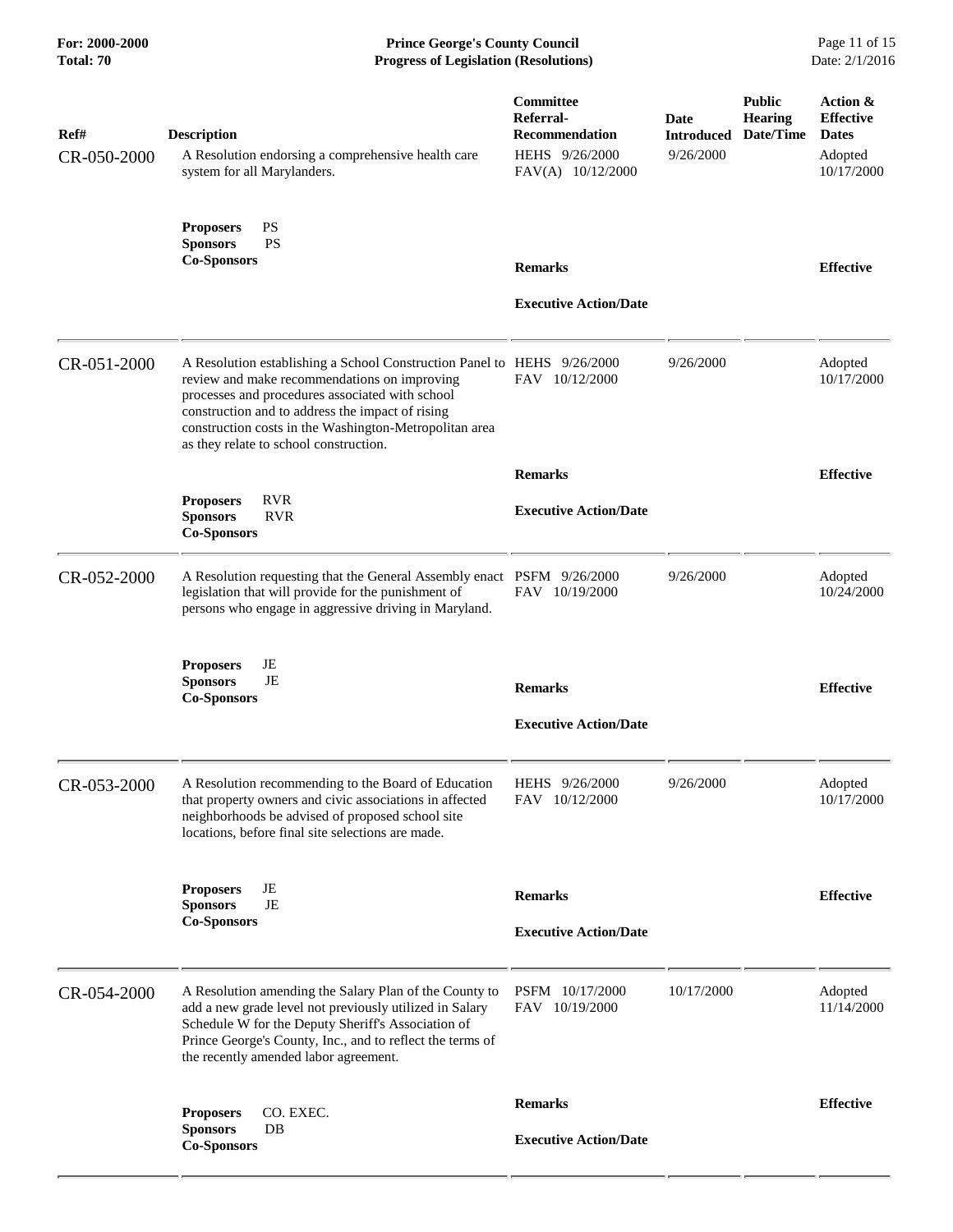**For: 2000-2000 Prince George's County Council** Page 11 of 15<br> **Progress of Legislation (Resolutions)** Date: 2/1/2016 **Total: 70 Progress of Legislation (Resolutions)** 

| Ref#<br>CR-050-2000 | <b>Description</b><br>A Resolution endorsing a comprehensive health care<br>system for all Marylanders.                                                                                                                                                                                                                            | <b>Committee</b><br>Referral-<br><b>Recommendation</b><br>HEHS 9/26/2000<br>FAV(A) 10/12/2000 | Date<br><b>Introduced</b><br>9/26/2000 | <b>Public</b><br><b>Hearing</b><br>Date/Time | Action &<br><b>Effective</b><br><b>Dates</b><br>Adopted<br>10/17/2000 |
|---------------------|------------------------------------------------------------------------------------------------------------------------------------------------------------------------------------------------------------------------------------------------------------------------------------------------------------------------------------|-----------------------------------------------------------------------------------------------|----------------------------------------|----------------------------------------------|-----------------------------------------------------------------------|
|                     | PS<br><b>Proposers</b><br><b>Sponsors</b><br><b>PS</b><br><b>Co-Sponsors</b>                                                                                                                                                                                                                                                       | <b>Remarks</b><br><b>Executive Action/Date</b>                                                |                                        |                                              | <b>Effective</b>                                                      |
| CR-051-2000         | A Resolution establishing a School Construction Panel to HEHS 9/26/2000<br>review and make recommendations on improving<br>processes and procedures associated with school<br>construction and to address the impact of rising<br>construction costs in the Washington-Metropolitan area<br>as they relate to school construction. | FAV 10/12/2000                                                                                | 9/26/2000                              |                                              | Adopted<br>10/17/2000                                                 |
|                     |                                                                                                                                                                                                                                                                                                                                    | <b>Remarks</b>                                                                                |                                        |                                              | <b>Effective</b>                                                      |
|                     | <b>Proposers</b><br><b>RVR</b><br><b>Sponsors</b><br><b>RVR</b><br><b>Co-Sponsors</b>                                                                                                                                                                                                                                              | <b>Executive Action/Date</b>                                                                  |                                        |                                              |                                                                       |
| CR-052-2000         | A Resolution requesting that the General Assembly enact PSFM 9/26/2000<br>legislation that will provide for the punishment of<br>persons who engage in aggressive driving in Maryland.                                                                                                                                             | FAV 10/19/2000                                                                                | 9/26/2000                              |                                              | Adopted<br>10/24/2000                                                 |
|                     | JE<br><b>Proposers</b><br>JE<br><b>Sponsors</b><br><b>Co-Sponsors</b>                                                                                                                                                                                                                                                              | <b>Remarks</b><br><b>Executive Action/Date</b>                                                |                                        |                                              | <b>Effective</b>                                                      |
| CR-053-2000         | A Resolution recommending to the Board of Education<br>that property owners and civic associations in affected<br>neighborhoods be advised of proposed school site<br>locations, before final site selections are made.                                                                                                            | HEHS 9/26/2000<br>FAV 10/12/2000                                                              | 9/26/2000                              |                                              | Adopted<br>10/17/2000                                                 |
|                     | JE<br><b>Proposers</b><br>JE<br><b>Sponsors</b><br><b>Co-Sponsors</b>                                                                                                                                                                                                                                                              | <b>Remarks</b><br><b>Executive Action/Date</b>                                                |                                        |                                              | <b>Effective</b>                                                      |
|                     |                                                                                                                                                                                                                                                                                                                                    |                                                                                               |                                        |                                              |                                                                       |
| CR-054-2000         | A Resolution amending the Salary Plan of the County to<br>add a new grade level not previously utilized in Salary<br>Schedule W for the Deputy Sheriff's Association of<br>Prince George's County, Inc., and to reflect the terms of<br>the recently amended labor agreement.                                                      | PSFM 10/17/2000<br>FAV 10/19/2000                                                             | 10/17/2000                             |                                              | Adopted<br>11/14/2000                                                 |
|                     |                                                                                                                                                                                                                                                                                                                                    | <b>Remarks</b>                                                                                |                                        |                                              | <b>Effective</b>                                                      |
|                     | <b>Proposers</b><br>CO. EXEC.<br>DB<br><b>Sponsors</b><br><b>Co-Sponsors</b>                                                                                                                                                                                                                                                       | <b>Executive Action/Date</b>                                                                  |                                        |                                              |                                                                       |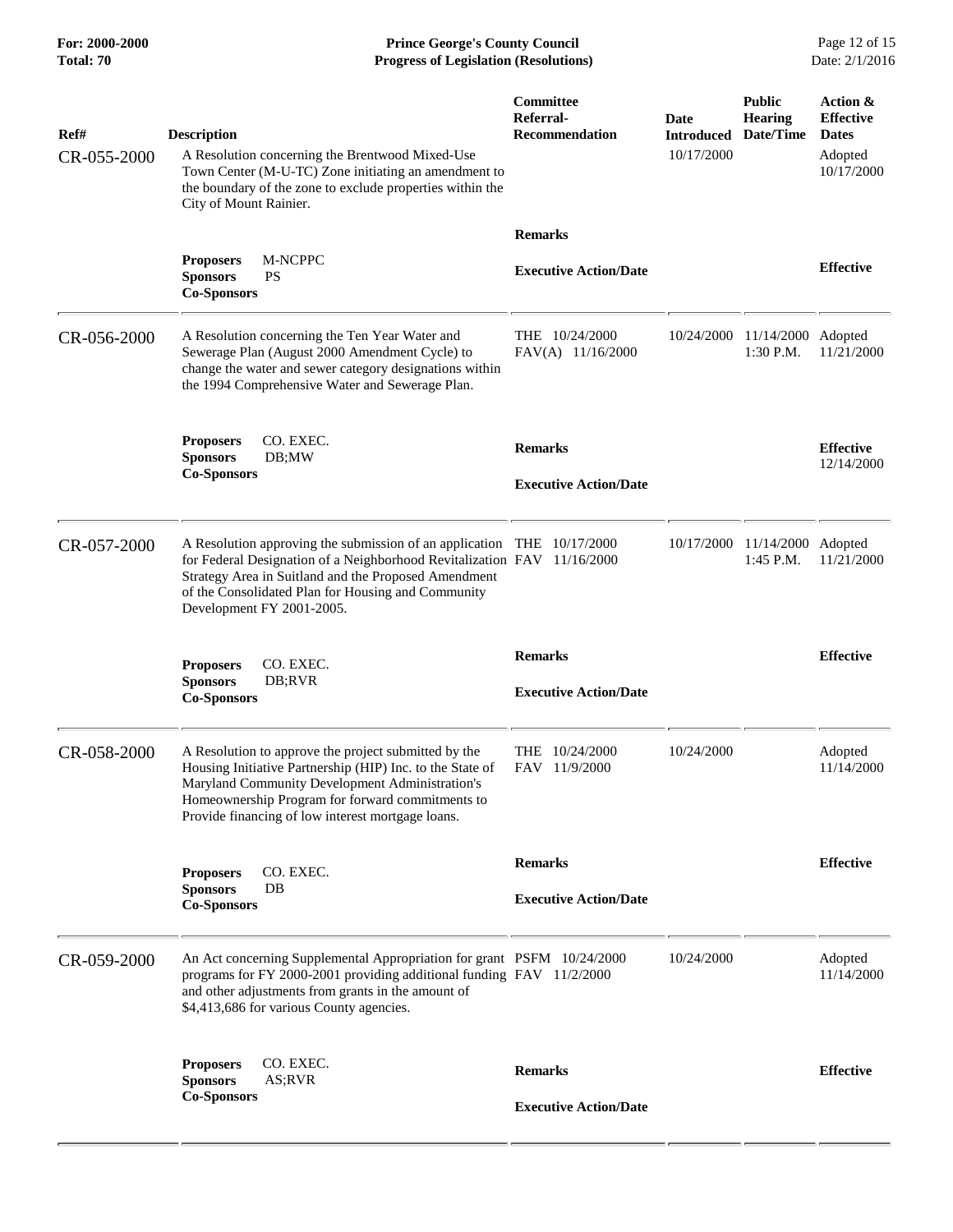**For: 2000-2000 Prince George's County Council** Page 12 of 15<br> **Progress of Legislation (Resolutions)** Date: 2/1/2016 **Total: 70 Progress of Legislation (Resolutions)** 

| Ref#<br>CR-055-2000 | <b>Description</b><br>A Resolution concerning the Brentwood Mixed-Use<br>Town Center (M-U-TC) Zone initiating an amendment to<br>the boundary of the zone to exclude properties within the<br>City of Mount Rainier.                                                                         | Committee<br>Referral-<br><b>Recommendation</b> | Date<br><b>Introduced</b><br>10/17/2000 | <b>Public</b><br>Hearing<br>Date/Time | Action &<br><b>Effective</b><br><b>Dates</b><br>Adopted<br>10/17/2000 |
|---------------------|----------------------------------------------------------------------------------------------------------------------------------------------------------------------------------------------------------------------------------------------------------------------------------------------|-------------------------------------------------|-----------------------------------------|---------------------------------------|-----------------------------------------------------------------------|
|                     |                                                                                                                                                                                                                                                                                              | <b>Remarks</b>                                  |                                         |                                       |                                                                       |
|                     | M-NCPPC<br><b>Proposers</b><br><b>Sponsors</b><br><b>PS</b><br><b>Co-Sponsors</b>                                                                                                                                                                                                            | <b>Executive Action/Date</b>                    |                                         |                                       | <b>Effective</b>                                                      |
| CR-056-2000         | A Resolution concerning the Ten Year Water and<br>Sewerage Plan (August 2000 Amendment Cycle) to<br>change the water and sewer category designations within<br>the 1994 Comprehensive Water and Sewerage Plan.                                                                               | THE 10/24/2000<br>FAV(A) 11/16/2000             | 10/24/2000                              | 11/14/2000 Adopted<br>1:30 P.M.       | 11/21/2000                                                            |
|                     | <b>Proposers</b><br>CO. EXEC.<br><b>Sponsors</b><br>DB;MW<br><b>Co-Sponsors</b>                                                                                                                                                                                                              | <b>Remarks</b><br><b>Executive Action/Date</b>  |                                         |                                       | <b>Effective</b><br>12/14/2000                                        |
| CR-057-2000         | A Resolution approving the submission of an application THE 10/17/2000<br>for Federal Designation of a Neighborhood Revitalization FAV 11/16/2000<br>Strategy Area in Suitland and the Proposed Amendment<br>of the Consolidated Plan for Housing and Community<br>Development FY 2001-2005. |                                                 | 10/17/2000                              | 11/14/2000<br>$1:45$ P.M.             | Adopted<br>11/21/2000                                                 |
|                     | CO. EXEC.<br><b>Proposers</b><br><b>Sponsors</b><br>DB;RVR<br><b>Co-Sponsors</b>                                                                                                                                                                                                             | <b>Remarks</b><br><b>Executive Action/Date</b>  |                                         |                                       | <b>Effective</b>                                                      |
| CR-058-2000         | A Resolution to approve the project submitted by the<br>Housing Initiative Partnership (HIP) Inc. to the State of<br>Maryland Community Development Administration's<br>Homeownership Program for forward commitments to<br>Provide financing of low interest mortgage loans.                | THE 10/24/2000<br>FAV 11/9/2000                 | 10/24/2000                              |                                       | Adopted<br>11/14/2000                                                 |
|                     | CO. EXEC.                                                                                                                                                                                                                                                                                    | <b>Remarks</b>                                  |                                         |                                       | <b>Effective</b>                                                      |
|                     | <b>Proposers</b><br><b>Sponsors</b><br>$DB$<br><b>Co-Sponsors</b>                                                                                                                                                                                                                            | <b>Executive Action/Date</b>                    |                                         |                                       |                                                                       |
| CR-059-2000         | An Act concerning Supplemental Appropriation for grant PSFM 10/24/2000<br>programs for FY 2000-2001 providing additional funding FAV 11/2/2000<br>and other adjustments from grants in the amount of<br>\$4,413,686 for various County agencies.                                             |                                                 | 10/24/2000                              |                                       | Adopted<br>11/14/2000                                                 |
|                     | CO. EXEC.<br><b>Proposers</b><br><b>Sponsors</b><br>AS;RVR<br><b>Co-Sponsors</b>                                                                                                                                                                                                             | <b>Remarks</b><br><b>Executive Action/Date</b>  |                                         |                                       | <b>Effective</b>                                                      |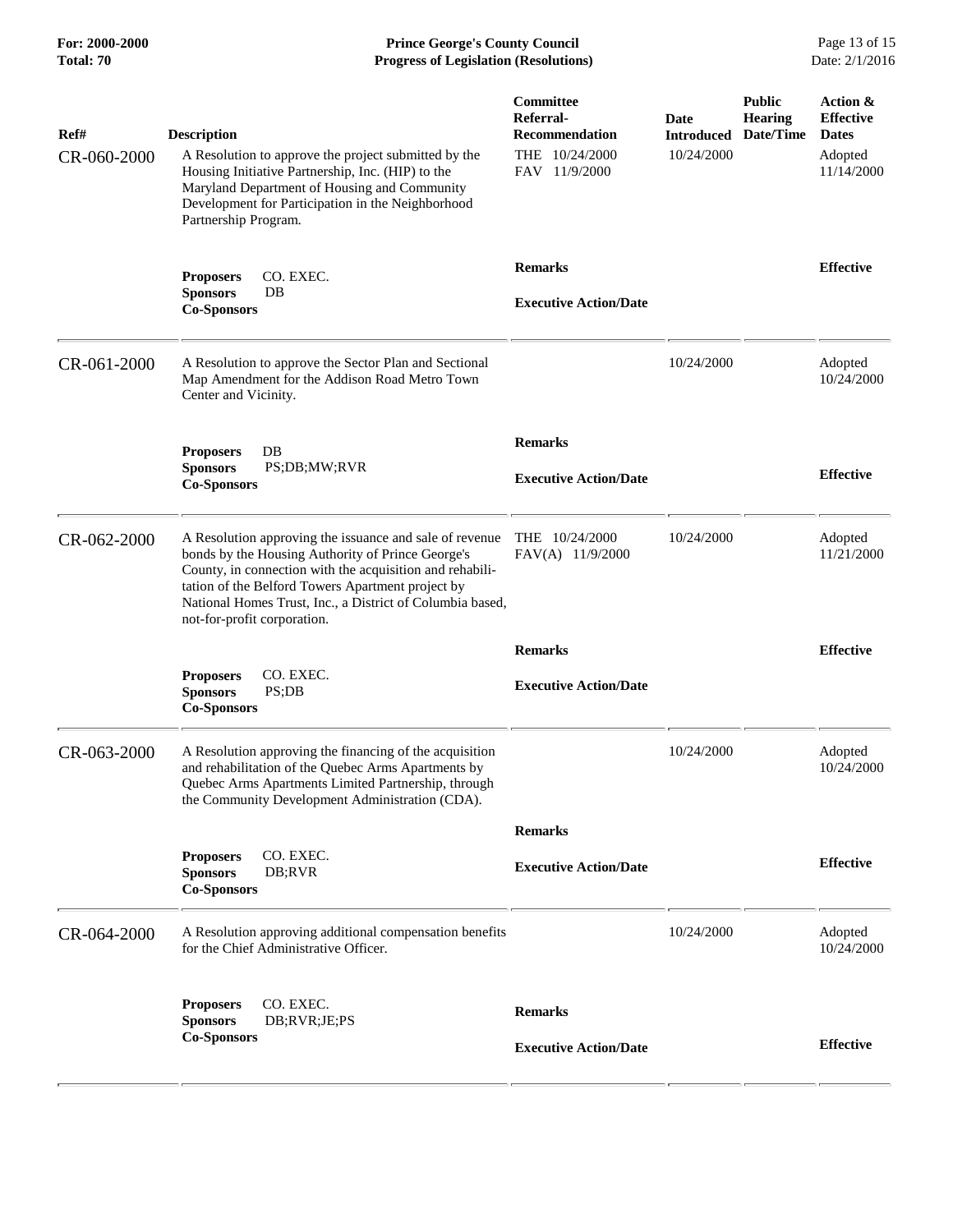**For: 2000-2000 Prince George's County Council** Page 13 of 15<br> **Progress of Legislation (Resolutions)** Date: 2/1/2016 **Total: 70 Progress of Legislation (Resolutions)** 

| Ref#<br>CR-060-2000 | <b>Description</b><br>A Resolution to approve the project submitted by the<br>Housing Initiative Partnership, Inc. (HIP) to the<br>Maryland Department of Housing and Community<br>Development for Participation in the Neighborhood<br>Partnership Program.                                                              | Committee<br>Referral-<br><b>Recommendation</b><br>THE 10/24/2000<br>FAV 11/9/2000 | Date<br><b>Introduced</b><br>10/24/2000 | <b>Public</b><br><b>Hearing</b><br>Date/Time | Action &<br><b>Effective</b><br><b>Dates</b><br>Adopted<br>11/14/2000 |
|---------------------|---------------------------------------------------------------------------------------------------------------------------------------------------------------------------------------------------------------------------------------------------------------------------------------------------------------------------|------------------------------------------------------------------------------------|-----------------------------------------|----------------------------------------------|-----------------------------------------------------------------------|
|                     | CO. EXEC.<br><b>Proposers</b><br><b>Sponsors</b><br>DB<br><b>Co-Sponsors</b>                                                                                                                                                                                                                                              | <b>Remarks</b><br><b>Executive Action/Date</b>                                     |                                         |                                              | <b>Effective</b>                                                      |
| CR-061-2000         | A Resolution to approve the Sector Plan and Sectional<br>Map Amendment for the Addison Road Metro Town<br>Center and Vicinity.                                                                                                                                                                                            |                                                                                    | 10/24/2000                              |                                              | Adopted<br>10/24/2000                                                 |
|                     | DB<br><b>Proposers</b><br><b>Sponsors</b><br>PS;DB;MW;RVR<br><b>Co-Sponsors</b>                                                                                                                                                                                                                                           | <b>Remarks</b><br><b>Executive Action/Date</b>                                     |                                         |                                              | <b>Effective</b>                                                      |
| CR-062-2000         | A Resolution approving the issuance and sale of revenue<br>bonds by the Housing Authority of Prince George's<br>County, in connection with the acquisition and rehabili-<br>tation of the Belford Towers Apartment project by<br>National Homes Trust, Inc., a District of Columbia based,<br>not-for-profit corporation. | THE $10/24/2000$<br>FAV(A) 11/9/2000                                               | 10/24/2000                              |                                              | Adopted<br>11/21/2000                                                 |
|                     |                                                                                                                                                                                                                                                                                                                           | <b>Remarks</b>                                                                     |                                         |                                              | <b>Effective</b>                                                      |
|                     | CO. EXEC.<br><b>Proposers</b><br><b>Sponsors</b><br>PS;DB<br><b>Co-Sponsors</b>                                                                                                                                                                                                                                           | <b>Executive Action/Date</b>                                                       |                                         |                                              |                                                                       |
| CR-063-2000         | A Resolution approving the financing of the acquisition<br>and rehabilitation of the Quebec Arms Apartments by<br>Quebec Arms Apartments Limited Partnership, through<br>the Community Development Administration (CDA).                                                                                                  |                                                                                    | 10/24/2000                              |                                              | Adopted<br>10/24/2000                                                 |
|                     |                                                                                                                                                                                                                                                                                                                           | <b>Remarks</b>                                                                     |                                         |                                              |                                                                       |
|                     | CO. EXEC.<br><b>Proposers</b><br><b>Sponsors</b><br>DB;RVR<br><b>Co-Sponsors</b>                                                                                                                                                                                                                                          | <b>Executive Action/Date</b>                                                       |                                         |                                              | <b>Effective</b>                                                      |
| CR-064-2000         | A Resolution approving additional compensation benefits<br>for the Chief Administrative Officer.                                                                                                                                                                                                                          |                                                                                    | 10/24/2000                              |                                              | Adopted<br>10/24/2000                                                 |
|                     | <b>Proposers</b><br>CO. EXEC.<br>DB;RVR;JE;PS<br><b>Sponsors</b><br><b>Co-Sponsors</b>                                                                                                                                                                                                                                    | <b>Remarks</b><br><b>Executive Action/Date</b>                                     |                                         |                                              | <b>Effective</b>                                                      |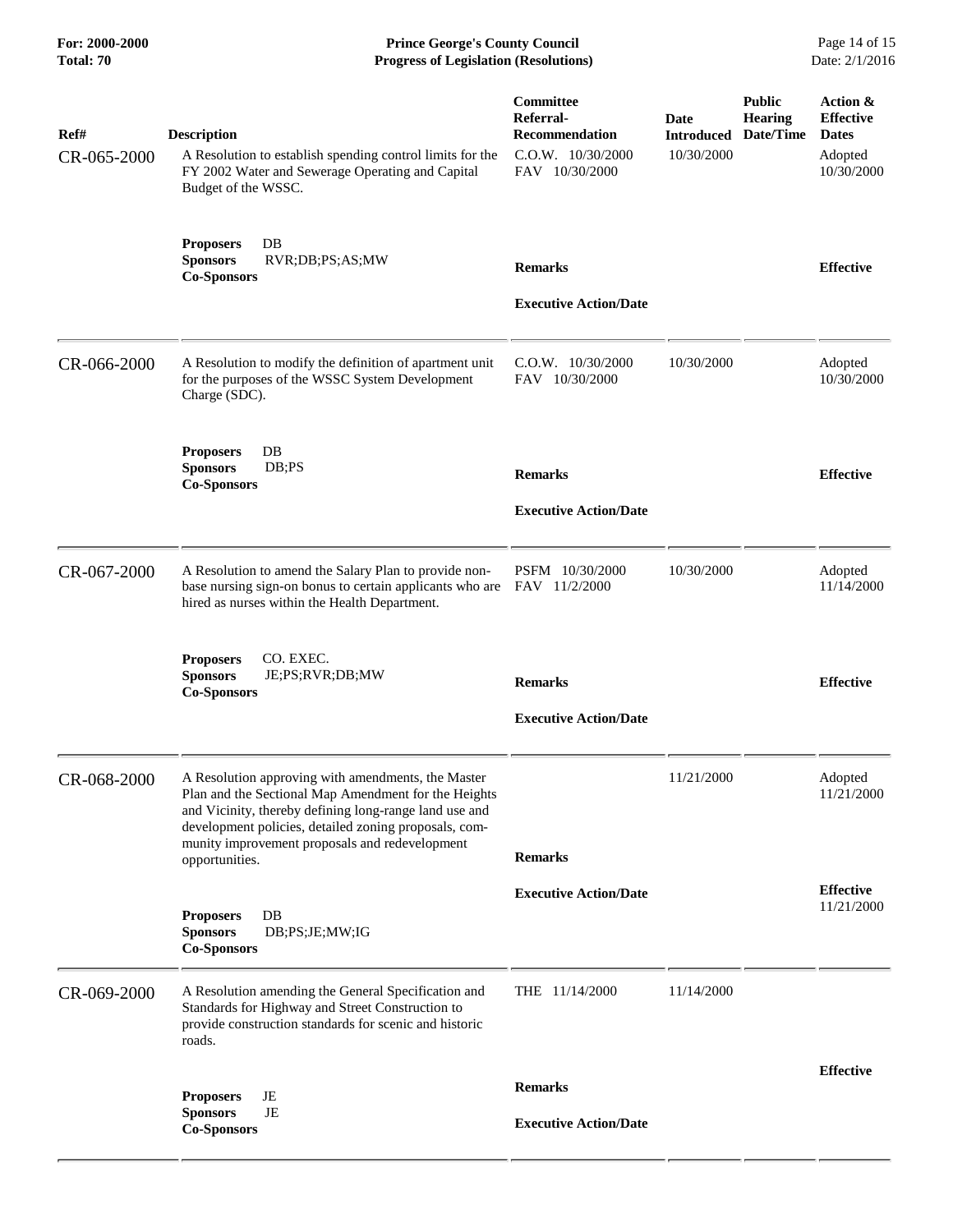**For: 2000-2000 Prince George's County Council** Page 14 of 15<br> **Progress of Legislation (Resolutions)** Date: 2/1/2016 **Total: 70 Progress of Legislation (Resolutions)** 

| Ref#<br>CR-065-2000 | <b>Description</b><br>A Resolution to establish spending control limits for the<br>FY 2002 Water and Sewerage Operating and Capital<br>Budget of the WSSC.                                                                                                                                        | Committee<br>Referral-<br><b>Recommendation</b><br>$C.O.W.$ 10/30/2000<br>FAV 10/30/2000 | Date<br><b>Introduced</b><br>10/30/2000 | <b>Public</b><br><b>Hearing</b><br>Date/Time | Action &<br><b>Effective</b><br><b>Dates</b><br>Adopted<br>10/30/2000 |
|---------------------|---------------------------------------------------------------------------------------------------------------------------------------------------------------------------------------------------------------------------------------------------------------------------------------------------|------------------------------------------------------------------------------------------|-----------------------------------------|----------------------------------------------|-----------------------------------------------------------------------|
|                     | <b>Proposers</b><br>DB<br><b>Sponsors</b><br>RVR;DB;PS;AS;MW<br><b>Co-Sponsors</b>                                                                                                                                                                                                                | <b>Remarks</b><br><b>Executive Action/Date</b>                                           |                                         |                                              | <b>Effective</b>                                                      |
| CR-066-2000         | A Resolution to modify the definition of apartment unit<br>for the purposes of the WSSC System Development<br>Charge (SDC).                                                                                                                                                                       | $C.O.W.$ 10/30/2000<br>FAV 10/30/2000                                                    | 10/30/2000                              |                                              | Adopted<br>10/30/2000                                                 |
|                     | $\rm DB$<br><b>Proposers</b><br><b>Sponsors</b><br>DB; PS<br><b>Co-Sponsors</b>                                                                                                                                                                                                                   | <b>Remarks</b><br><b>Executive Action/Date</b>                                           |                                         |                                              | <b>Effective</b>                                                      |
| CR-067-2000         | A Resolution to amend the Salary Plan to provide non-<br>base nursing sign-on bonus to certain applicants who are<br>hired as nurses within the Health Department.                                                                                                                                | PSFM 10/30/2000<br>FAV 11/2/2000                                                         | 10/30/2000                              |                                              | Adopted<br>11/14/2000                                                 |
|                     | <b>Proposers</b><br>CO. EXEC.<br><b>Sponsors</b><br>JE;PS;RVR;DB;MW<br><b>Co-Sponsors</b>                                                                                                                                                                                                         | <b>Remarks</b><br><b>Executive Action/Date</b>                                           |                                         |                                              | <b>Effective</b>                                                      |
| CR-068-2000         | A Resolution approving with amendments, the Master<br>Plan and the Sectional Map Amendment for the Heights<br>and Vicinity, thereby defining long-range land use and<br>development policies, detailed zoning proposals, com-<br>munity improvement proposals and redevelopment<br>opportunities. | <b>Remarks</b>                                                                           | 11/21/2000                              |                                              | Adopted<br>11/21/2000                                                 |
|                     | <b>Proposers</b><br>DB<br><b>Sponsors</b><br>DB;PS;JE;MW;IG<br><b>Co-Sponsors</b>                                                                                                                                                                                                                 | <b>Executive Action/Date</b>                                                             |                                         |                                              | <b>Effective</b><br>11/21/2000                                        |
| CR-069-2000         | A Resolution amending the General Specification and<br>Standards for Highway and Street Construction to<br>provide construction standards for scenic and historic<br>roads.                                                                                                                       | THE 11/14/2000                                                                           | 11/14/2000                              |                                              |                                                                       |
|                     | JE<br><b>Proposers</b><br>JE                                                                                                                                                                                                                                                                      | <b>Remarks</b>                                                                           |                                         |                                              | <b>Effective</b>                                                      |
|                     | <b>Sponsors</b><br><b>Co-Sponsors</b>                                                                                                                                                                                                                                                             | <b>Executive Action/Date</b>                                                             |                                         |                                              |                                                                       |